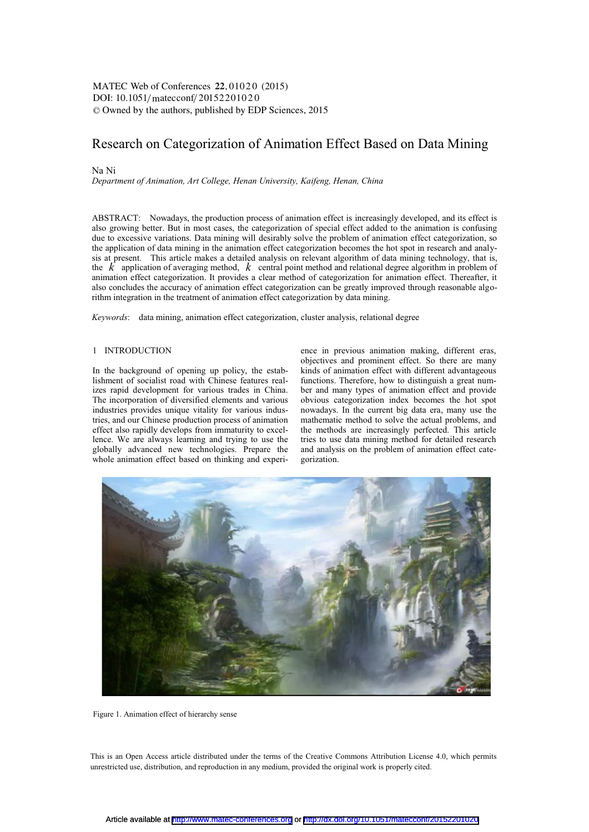DOI: 10.1051/matecconf/20152201020 -<sup>C</sup> Owned by the authors, published by EDP Sciences, 2015 MATEC Web of Conferences 22,01020 (2015)

# Research on Categorization of Animation Effect Based on Data Mining

## Na Ni

*Department of Animation, Art College, Henan University, Kaifeng, Henan, China* 

ABSTRACT: Nowadays, the production process of animation effect is increasingly developed, and its effect is also growing better. But in most cases, the categorization of special effect added to the animation is confusing due to excessive variations. Data mining will desirably solve the problem of animation effect categorization, so the application of data mining in the animation effect categorization becomes the hot spot in research and analysis at present. This article makes a detailed analysis on relevant algorithm of data mining technology, that is, the *k* application of averaging method, *k* central point method and relational degree algorithm in problem of animation effect categorization. It provides a clear method of categorization for animation effect. Thereafter, it also concludes the accuracy of animation effect categorization can be greatly improved through reasonable algorithm integration in the treatment of animation effect categorization by data mining.

*Keywords*: data mining, animation effect categorization, cluster analysis, relational degree

## 1 INTRODUCTION

In the background of opening up policy, the establishment of socialist road with Chinese features realizes rapid development for various trades in China. The incorporation of diversified elements and various industries provides unique vitality for various industries, and our Chinese production process of animation effect also rapidly develops from immaturity to excellence. We are always learning and trying to use the globally advanced new technologies. Prepare the whole animation effect based on thinking and experience in previous animation making, different eras, objectives and prominent effect. So there are many kinds of animation effect with different advantageous functions. Therefore, how to distinguish a great number and many types of animation effect and provide obvious categorization index becomes the hot spot nowadays. In the current big data era, many use the mathematic method to solve the actual problems, and the methods are increasingly perfected. This article tries to use data mining method for detailed research and analysis on the problem of animation effect categorization.



Figure 1. Animation effect of hierarchy sense

This is an Open Access article distributed under the terms of the Creative Commons Attribution License 4.0, which permits unrestricted use, distribution, and reproduction in any medium, provided the original work is properly cited.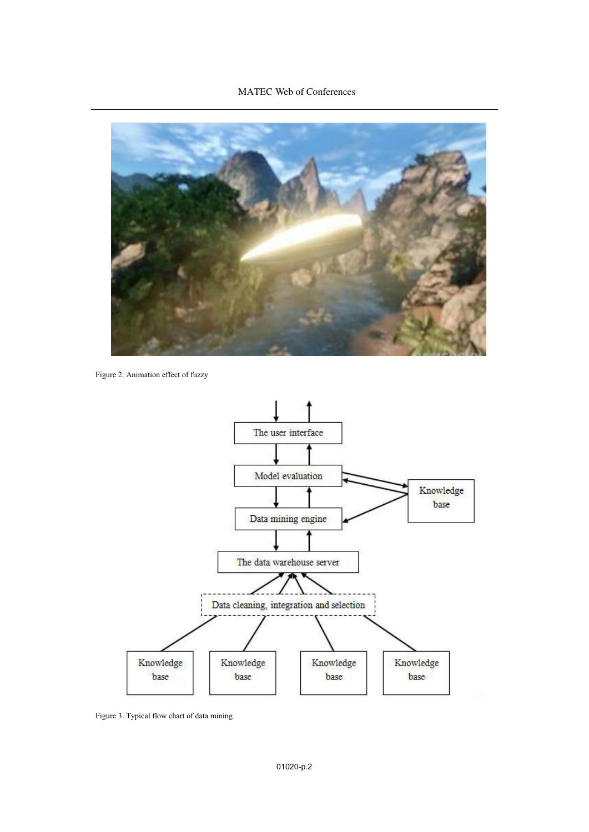## MATEC Web of Conferences



Figure 2. Animation effect of fuzzy



Figure 3. Typical flow chart of data mining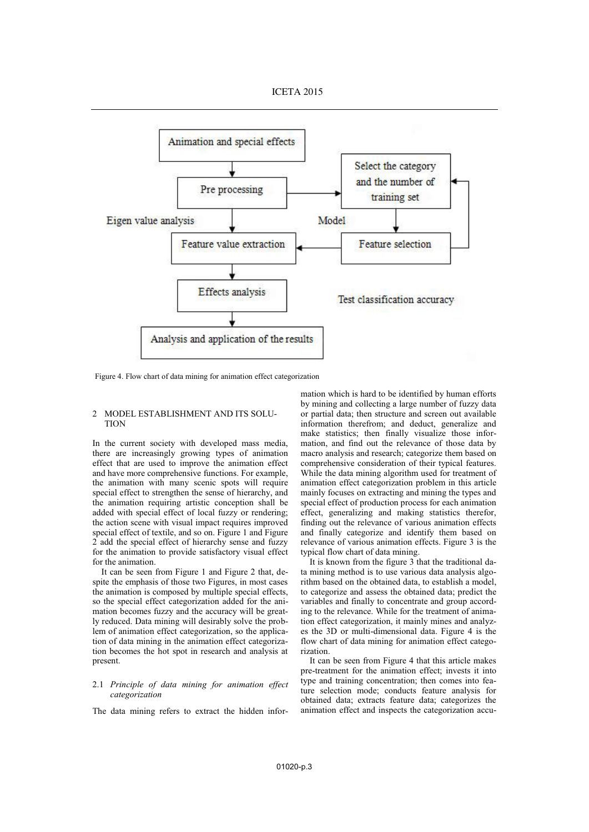

Figure 4. Flow chart of data mining for animation effect categorization

#### 2 MODEL ESTABLISHMENT AND ITS SOLU-TION

In the current society with developed mass media, there are increasingly growing types of animation effect that are used to improve the animation effect and have more comprehensive functions. For example, the animation with many scenic spots will require special effect to strengthen the sense of hierarchy, and the animation requiring artistic conception shall be added with special effect of local fuzzy or rendering; the action scene with visual impact requires improved special effect of textile, and so on. Figure 1 and Figure 2 add the special effect of hierarchy sense and fuzzy for the animation to provide satisfactory visual effect for the animation.

It can be seen from Figure 1 and Figure 2 that, despite the emphasis of those two Figures, in most cases the animation is composed by multiple special effects, so the special effect categorization added for the animation becomes fuzzy and the accuracy will be greatly reduced. Data mining will desirably solve the problem of animation effect categorization, so the application of data mining in the animation effect categorization becomes the hot spot in research and analysis at present.

### 2.1 *Principle of data mining for animation effect categorization*

The data mining refers to extract the hidden infor-

mation which is hard to be identified by human efforts by mining and collecting a large number of fuzzy data or partial data; then structure and screen out available information therefrom; and deduct, generalize and make statistics; then finally visualize those information, and find out the relevance of those data by macro analysis and research; categorize them based on comprehensive consideration of their typical features. While the data mining algorithm used for treatment of animation effect categorization problem in this article mainly focuses on extracting and mining the types and special effect of production process for each animation effect, generalizing and making statistics therefor, finding out the relevance of various animation effects and finally categorize and identify them based on relevance of various animation effects. Figure 3 is the typical flow chart of data mining.

It is known from the figure 3 that the traditional data mining method is to use various data analysis algorithm based on the obtained data, to establish a model, to categorize and assess the obtained data; predict the variables and finally to concentrate and group according to the relevance. While for the treatment of animation effect categorization, it mainly mines and analyzes the 3D or multi-dimensional data. Figure 4 is the flow chart of data mining for animation effect categorization.

It can be seen from Figure 4 that this article makes pre-treatment for the animation effect; invests it into type and training concentration; then comes into feature selection mode; conducts feature analysis for obtained data; extracts feature data; categorizes the animation effect and inspects the categorization accu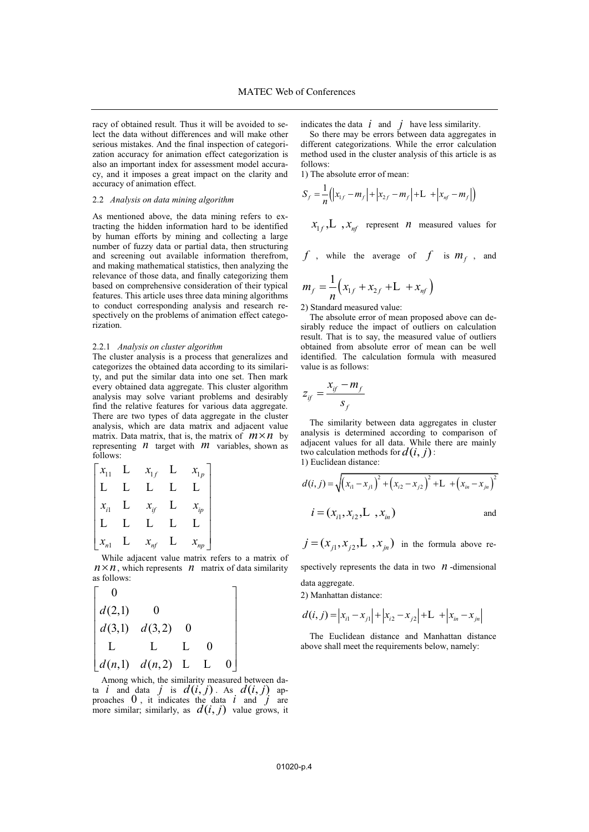racy of obtained result. Thus it will be avoided to select the data without differences and will make other serious mistakes. And the final inspection of categorization accuracy for animation effect categorization is also an important index for assessment model accuracy, and it imposes a great impact on the clarity and accuracy of animation effect.

## 2.2 *Analysis on data mining algorithm*

As mentioned above, the data mining refers to extracting the hidden information hard to be identified by human efforts by mining and collecting a large number of fuzzy data or partial data, then structuring and screening out available information therefrom, and making mathematical statistics, then analyzing the relevance of those data, and finally categorizing them based on comprehensive consideration of their typical features. This article uses three data mining algorithms to conduct corresponding analysis and research respectively on the problems of animation effect categorization.

### 2.2.1 *Analysis on cluster algorithm*

The cluster analysis is a process that generalizes and categorizes the obtained data according to its similarity, and put the similar data into one set. Then mark every obtained data aggregate. This cluster algorithm analysis may solve variant problems and desirably find the relative features for various data aggregate. There are two types of data aggregate in the cluster analysis, which are data matrix and adjacent value analysis, which are data matrix and adjacent value matrix. Data matrix, that is, the matrix of  $m \times n$  by representing *n* target with *m* variables, shown as follows:

$$
\begin{bmatrix} x_{11} & L & x_{1f} & L & x_{1p} \\ L & L & L & L & L \\ x_{i1} & L & x_{if} & L & x_{ip} \\ L & L & L & L & L \\ x_{n1} & L & x_{nf} & L & x_{np} \end{bmatrix}
$$

While adjacent value matrix refers to a matrix of while adjacent value matrix refers to a matrix of  $n \times n$ , which represents *n* matrix of data similarity as follows:

$$
\begin{bmatrix}\n0 \\
d(2,1) & 0 \\
d(3,1) & d(3,2) & 0 \\
L & L & L & 0 \\
d(n,1) & d(n,2) & L & L & 0\n\end{bmatrix}
$$

Among which, the similarity measured between data *i* and data *j* is  $d(i, j)$ . As  $d(i, j)$  approaches  $0$ , it indicates the data  $i$  and  $j$  are more similar; similarly, as  $d(i, j)$  value grows, it indicates the data  $\vec{i}$  and  $\vec{j}$  have less similarity.

So there may be errors between data aggregates in different categorizations. While the error calculation method used in the cluster analysis of this article is as follows:

1) The absolute error of mean:

$$
S_f = \frac{1}{n} ( |x_{1f} - m_f| + |x_{2f} - m_f| + L + |x_{nf} - m_f| )
$$

$$
x_{1f}
$$
,L,  $x_{nf}$  represent *n* measured values for

$$
f
$$
, while the average of  $f$  is  $m_f$ , and

$$
m_f = \frac{1}{n} \left( x_{1f} + x_{2f} + L + x_{nf} \right)
$$

2) Standard measured value:

The absolute error of mean proposed above can desirably reduce the impact of outliers on calculation result. That is to say, the measured value of outliers obtained from absolute error of mean can be well identified. The calculation formula with measured value is as follows:

$$
z_{if} = \frac{x_{if} - m_f}{s_f}
$$

The similarity between data aggregates in cluster analysis is determined according to comparison of adjacent values for all data. While there are mainly two calculation methods for  $d(i, j)$ : 1) Euclidean distance:

$$
d(i, j) = \sqrt{(x_{i1} - x_{j1})^2 + (x_{i2} - x_{j2})^2 + L + (x_{in} - x_{jn})^2}
$$
  

$$
i = (x_{i1}, x_{i2}, L, x_{in})
$$
 and

 $j = (x_{i1}, x_{i2}, L, x_{in})$  in the formula above re-

spectively represents the data in two  $n$ -dimensional data aggregate.

2) Manhattan distance:

$$
d(i, j) = |x_{i1} - x_{j1}| + |x_{i2} - x_{j2}| + L + |x_{in} - x_{jn}|
$$

The Euclidean distance and Manhattan distance above shall meet the requirements below, namely: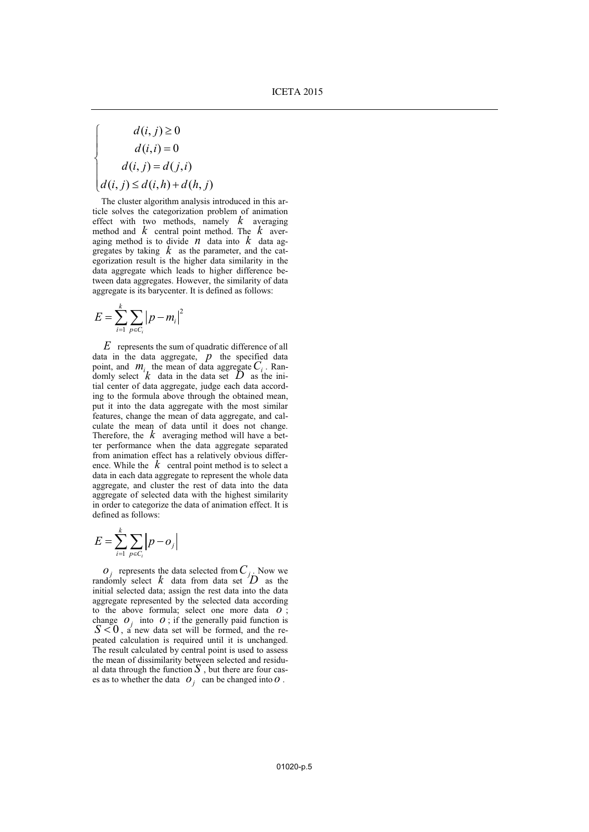$$
\begin{cases}\n d(i, j) \ge 0 \\
 d(i, i) = 0 \\
 d(i, j) = d(j, i) \\
 d(i, j) \le d(i, h) + d(h, j)\n\end{cases}
$$

The cluster algorithm analysis introduced in this article solves the categorization problem of animation effect with two methods, namely *k* averaging method and *k* central point method. The *k* averaging method is to divide  $n$  data into  $k$  data aggregates by taking  $k$  as the parameter, and the categorization result is the higher data similarity in the data aggregate which leads to higher difference between data aggregates. However, the similarity of data aggregate is its barycenter. It is defined as follows:

$$
E = \sum_{i=1}^{k} \sum_{p \in C_i} |p - m_i|^2
$$

*E* represents the sum of quadratic difference of all data in the data aggregate, *p* the specified data point, and  $m_i$  the mean of data aggregate  $C_i$ . Randomly select  $k$  data in the data set  $D$  as the initial center of data aggregate, judge each data according to the formula above through the obtained mean, put it into the data aggregate with the most similar features, change the mean of data aggregate, and calculate the mean of data until it does not change. Therefore, the  $k$  averaging method will have a better performance when the data aggregate separated from animation effect has a relatively obvious difference. While the  $k$  central point method is to select a data in each data aggregate to represent the whole data aggregate, and cluster the rest of data into the data aggregate of selected data with the highest similarity in order to categorize the data of animation effect. It is defined as follows:

$$
E = \sum_{i=1}^{k} \sum_{p \in C_i} \left| p - o_j \right|
$$

 $O_j$  represents the data selected from  $C_j$ . Now we randomly select  $k$  data from data set  $D$  as the initial selected data; assign the rest data into the data aggregate represented by the selected data according to the above formula; select one more data *o* ; change  $O_i$  into  $O$ ; if the generally paid function is  $S < 0$ , a new data set will be formed, and the repeated calculation is required until it is unchanged. The result calculated by central point is used to assess the mean of dissimilarity between selected and residual data through the function  $S$ , but there are four cases as to whether the data  $O_i$  can be changed into  $O$ .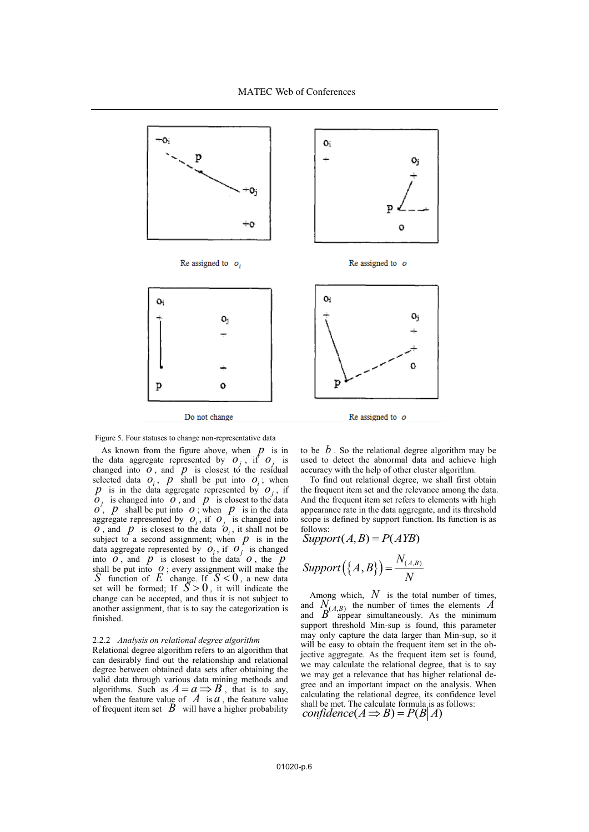

Figure 5. Four statuses to change non-representative data

As known from the figure above, when  $p$  is in the data aggregate represented by  $o_j$ , if  $o_j$  is changed into  $\overline{o}$ , and  $\overline{p}$  is closest to the residual selected data  $o_i$ ,  $p$  shall be put into  $o_i$ ; when *p* is in the data aggregate represented by  $o_i$ , if  $\overline{\rho}_j$  is changed into  $\overline{\rho}$ , and  $\overline{p}_j$  is closest to the data  $o'$ , *p* shall be put into *o*; when *p* is in the data aggregate represented by  $O_i$ , if  $O_j$  is changed into  $\overline{o}$ , and  $\overline{p}$  is closest to the data  $\overline{o}$ , it shall not be subject to a second assignment; when  $p$  is in the data aggregate represented by  $\overline{O}_i$ , if  $\overline{O}_j$  is changed into  $\overline{o}$ , and  $\overline{p}$  is closest to the data  $\overline{o}$ , the  $\overline{p}$ shall be put into  $Q$ ; every assignment will make the *S* function of  $E$  change. If  $S < 0$ , a new data set will be formed; If  $\overline{S} > 0$ , it will indicate the change can be accepted, and thus it is not subject to another assignment, that is to say the categorization is finished.

#### 2.2.2 *Analysis on relational degree algorithm*

Relational degree algorithm refers to an algorithm that can desirably find out the relationship and relational degree between obtained data sets after obtaining the valid data through various data mining methods and algorithms. Such as  $A = a \implies B$ , that is to say, when the feature value of  $\overline{A}$  is  $\overline{a}$ , the feature value of frequent item set  $\mathbf B$  will have a higher probability to be  $\dot{b}$ . So the relational degree algorithm may be used to detect the abnormal data and achieve high accuracy with the help of other cluster algorithm.

To find out relational degree, we shall first obtain the frequent item set and the relevance among the data. And the frequent item set refers to elements with high appearance rate in the data aggregate, and its threshold scope is defined by support function. Its function is as follows:

Support
$$
(A, B) = P(AYB)
$$

$$
Support(\lbrace A,B \rbrace) = \frac{N_{(A,B)}}{N}
$$

Among which, *N* is the total number of times, and  $N_{(A,B)}$  the number of times the elements *A* and  $B^{(A, B)}$  appear simultaneously. As the minimum support threshold Min-sup is found, this parameter may only capture the data larger than Min-sup, so it will be easy to obtain the frequent item set in the objective aggregate. As the frequent item set is found, we may calculate the relational degree, that is to say we may get a relevance that has higher relational degree and an important impact on the analysis. When calculating the relational degree, its confidence level shall be met. The calculate formula is as follows: *confidence*  $(A \implies B) = P(B|A)$